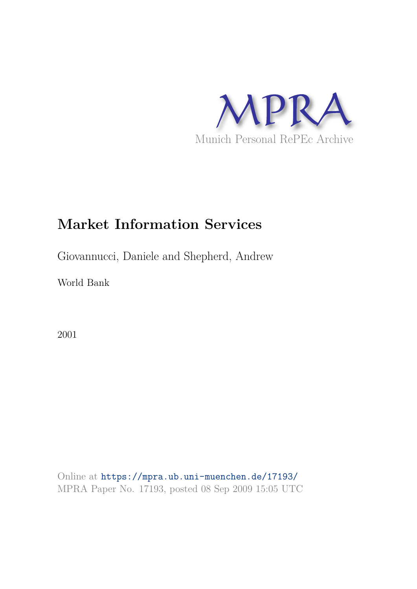

# **Market Information Services**

Giovannucci, Daniele and Shepherd, Andrew

World Bank

2001

Online at https://mpra.ub.uni-muenchen.de/17193/ MPRA Paper No. 17193, posted 08 Sep 2009 15:05 UTC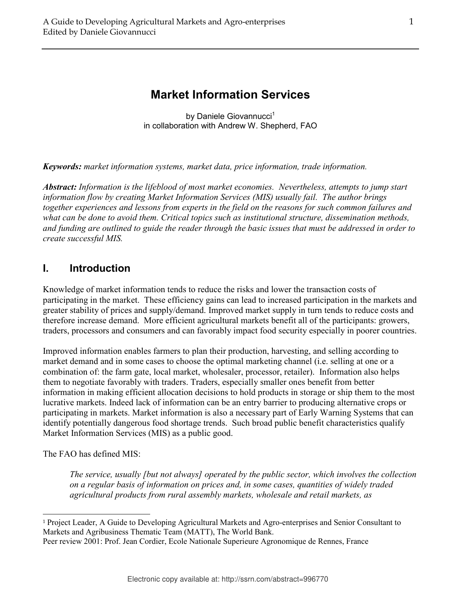## **Market Information Services**

by Daniele Giovannucci<sup>1</sup> in collaboration with Andrew W. Shepherd, FAO

**Keywords:** market information systems, market data, price information, trade information.

**Abstract:** Information is the lifeblood of most market economies. Nevertheless, attempts to jump start information flow by creating Market Information Services (MIS) usually fail. The author brings together experiences and lessons from experts in the field on the reasons for such common failures and what can be done to avoid them. Critical topics such as institutional structure, dissemination methods, and funding are outlined to guide the reader through the basic issues that must be addressed in order to create successful MIS.

#### $\mathbf{L}$ **Introduction**

Knowledge of market information tends to reduce the risks and lower the transaction costs of participating in the market. These efficiency gains can lead to increased participation in the markets and greater stability of prices and supply/demand. Improved market supply in turn tends to reduce costs and therefore increase demand. More efficient agricultural markets benefit all of the participants: growers, traders, processors and consumers and can favorably impact food security especially in poorer countries.

Improved information enables farmers to plan their production, harvesting, and selling according to market demand and in some cases to choose the optimal marketing channel (i.e. selling at one or a combination of: the farm gate, local market, wholesaler, processor, retailer). Information also helps them to negotiate favorably with traders. Traders, especially smaller ones benefit from better information in making efficient allocation decisions to hold products in storage or ship them to the most lucrative markets. Indeed lack of information can be an entry barrier to producing alternative crops or participating in markets. Market information is also a necessary part of Early Warning Systems that can identify potentially dangerous food shortage trends. Such broad public benefit characteristics qualify Market Information Services (MIS) as a public good.

The FAO has defined MIS:

The service, usually [but not always] operated by the public sector, which involves the collection on a regular basis of information on prices and, in some cases, quantities of widely traded agricultural products from rural assembly markets, wholesale and retail markets, as

<sup>&</sup>lt;sup>1</sup> Project Leader, A Guide to Developing Agricultural Markets and Agro-enterprises and Senior Consultant to Markets and Agribusiness Thematic Team (MATT), The World Bank.

Peer review 2001: Prof. Jean Cordier, Ecole Nationale Superieure Agronomique de Rennes, France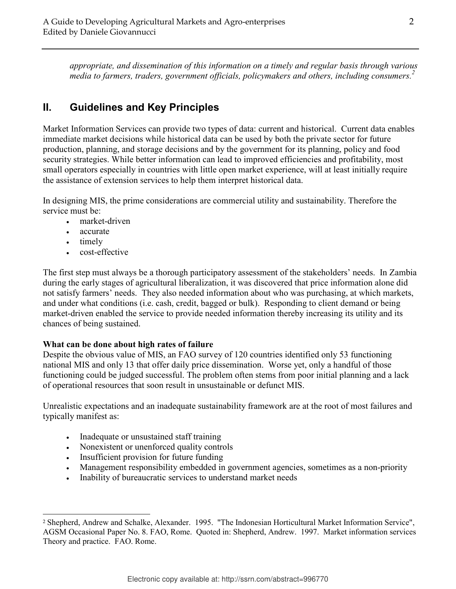appropriate, and dissemination of this information on a timely and regular basis through various media to farmers, traders, government officials, policymakers and others, including consumers.<sup>2</sup>

#### II. **Guidelines and Key Principles**

Market Information Services can provide two types of data: current and historical. Current data enables immediate market decisions while historical data can be used by both the private sector for future production, planning, and storage decisions and by the government for its planning, policy and food security strategies. While better information can lead to improved efficiencies and profitability, most small operators especially in countries with little open market experience, will at least initially require the assistance of extension services to help them interpret historical data.

In designing MIS, the prime considerations are commercial utility and sustainability. Therefore the service must be:

- market-driven
- accurate
- $\bullet$  timely
- cost-effective

The first step must always be a thorough participatory assessment of the stakeholders' needs. In Zambia during the early stages of agricultural liberalization, it was discovered that price information alone did not satisfy farmers' needs. They also needed information about who was purchasing, at which markets, and under what conditions (i.e. cash, credit, bagged or bulk). Responding to client demand or being market-driven enabled the service to provide needed information thereby increasing its utility and its chances of being sustained.

#### What can be done about high rates of failure

Despite the obvious value of MIS, an FAO survey of 120 countries identified only 53 functioning national MIS and only 13 that offer daily price dissemination. Worse yet, only a handful of those functioning could be judged successful. The problem often stems from poor initial planning and a lack of operational resources that soon result in unsustainable or defunct MIS.

Unrealistic expectations and an inadequate sustainability framework are at the root of most failures and typically manifest as:

- Inadequate or unsustained staff training
- Nonexistent or unenforced quality controls
- Insufficient provision for future funding
- Management responsibility embedded in government agencies, sometimes as a non-priority
- Inability of bureaucratic services to understand market needs

<sup>&</sup>lt;sup>2</sup> Shepherd, Andrew and Schalke, Alexander. 1995. "The Indonesian Horticultural Market Information Service", AGSM Occasional Paper No. 8. FAO, Rome. Quoted in: Shepherd, Andrew. 1997. Market information services Theory and practice. FAO. Rome.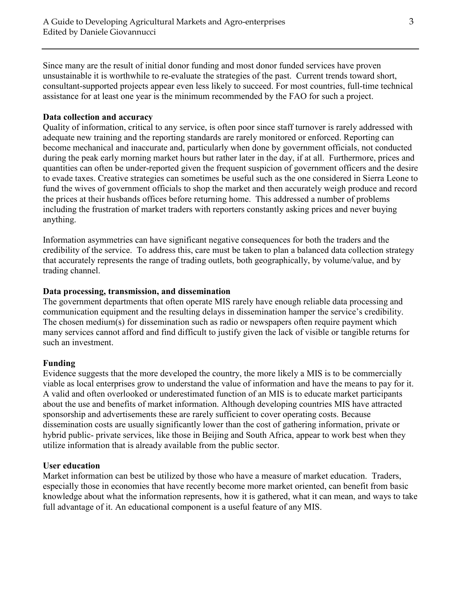Since many are the result of initial donor funding and most donor funded services have proven unsustainable it is worthwhile to re-evaluate the strategies of the past. Current trends toward short, consultant-supported projects appear even less likely to succeed. For most countries, full-time technical assistance for at least one year is the minimum recommended by the FAO for such a project.

#### Data collection and accuracy

Quality of information, critical to any service, is often poor since staff turnover is rarely addressed with adequate new training and the reporting standards are rarely monitored or enforced. Reporting can become mechanical and inaccurate and, particularly when done by government officials, not conducted during the peak early morning market hours but rather later in the day, if at all. Furthermore, prices and quantities can often be under-reported given the frequent suspicion of government officers and the desire to evade taxes. Creative strategies can sometimes be useful such as the one considered in Sierra Leone to fund the wives of government officials to shop the market and then accurately weigh produce and record the prices at their husbands offices before returning home. This addressed a number of problems including the frustration of market traders with reporters constantly asking prices and never buying anything.

Information asymmetries can have significant negative consequences for both the traders and the credibility of the service. To address this, care must be taken to plan a balanced data collection strategy that accurately represents the range of trading outlets, both geographically, by volume/value, and by trading channel.

#### Data processing, transmission, and dissemination

The government departments that often operate MIS rarely have enough reliable data processing and communication equipment and the resulting delays in dissemination hamper the service's credibility. The chosen medium(s) for dissemination such as radio or newspapers often require payment which many services cannot afford and find difficult to justify given the lack of visible or tangible returns for such an investment

#### Funding

Evidence suggests that the more developed the country, the more likely a MIS is to be commercially viable as local enterprises grow to understand the value of information and have the means to pay for it. A valid and often overlooked or underestimated function of an MIS is to educate market participants about the use and benefits of market information. Although developing countries MIS have attracted sponsorship and advertisements these are rarely sufficient to cover operating costs. Because dissemination costs are usually significantly lower than the cost of gathering information, private or hybrid public- private services, like those in Beijing and South Africa, appear to work best when they utilize information that is already available from the public sector.

#### **User education**

Market information can best be utilized by those who have a measure of market education. Traders, especially those in economies that have recently become more market oriented, can benefit from basic knowledge about what the information represents, how it is gathered, what it can mean, and ways to take full advantage of it. An educational component is a useful feature of any MIS.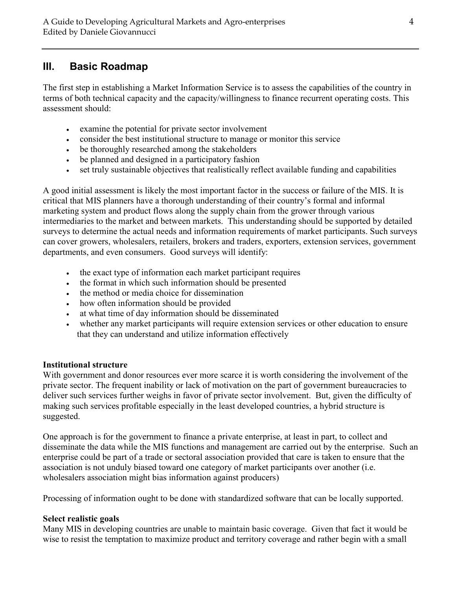#### Ш. **Basic Roadmap**

The first step in establishing a Market Information Service is to assess the capabilities of the country in terms of both technical capacity and the capacity/willingness to finance recurrent operating costs. This assessment should:

- examine the potential for private sector involvement  $\bullet$
- consider the best institutional structure to manage or monitor this service  $\bullet$
- be thoroughly researched among the stakeholders
- be planned and designed in a participatory fashion
- set truly sustainable objectives that realistically reflect available funding and capabilities  $\bullet$

A good initial assessment is likely the most important factor in the success or failure of the MIS. It is critical that MIS planners have a thorough understanding of their country's formal and informal marketing system and product flows along the supply chain from the grower through various intermediaries to the market and between markets. This understanding should be supported by detailed surveys to determine the actual needs and information requirements of market participants. Such surveys can cover growers, wholesalers, retailers, brokers and traders, exporters, extension services, government departments, and even consumers. Good surveys will identify:

- $\bullet$ the exact type of information each market participant requires
- the format in which such information should be presented
- the method or media choice for dissemination
- how often information should be provided
- at what time of day information should be disseminated
- whether any market participants will require extension services or other education to ensure that they can understand and utilize information effectively

#### **Institutional structure**

With government and donor resources ever more scarce it is worth considering the involvement of the private sector. The frequent inability or lack of motivation on the part of government bureaucracies to deliver such services further weighs in favor of private sector involvement. But, given the difficulty of making such services profitable especially in the least developed countries, a hybrid structure is suggested.

One approach is for the government to finance a private enterprise, at least in part, to collect and disseminate the data while the MIS functions and management are carried out by the enterprise. Such an enterprise could be part of a trade or sectoral association provided that care is taken to ensure that the association is not unduly biased toward one category of market participants over another (i.e. wholesalers association might bias information against producers)

Processing of information ought to be done with standardized software that can be locally supported.

#### **Select realistic goals**

Many MIS in developing countries are unable to maintain basic coverage. Given that fact it would be wise to resist the temptation to maximize product and territory coverage and rather begin with a small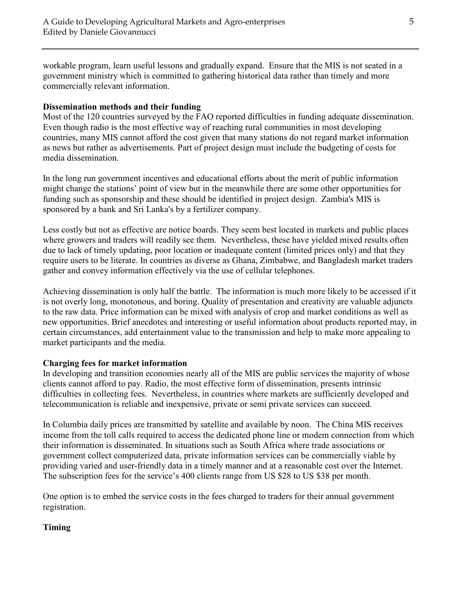workable program, learn useful lessons and gradually expand. Ensure that the MIS is not seated in a government ministry which is committed to gathering historical data rather than timely and more commercially relevant information.

#### Dissemination methods and their funding

Most of the 120 countries surveyed by the FAO reported difficulties in funding adequate dissemination. Even though radio is the most effective way of reaching rural communities in most developing countries, many MIS cannot afford the cost given that many stations do not regard market information as news but rather as advertisements. Part of project design must include the budgeting of costs for media dissemination

In the long run government incentives and educational efforts about the merit of public information might change the stations' point of view but in the meanwhile there are some other opportunities for funding such as sponsorship and these should be identified in project design. Zambia's MIS is sponsored by a bank and Sri Lanka's by a fertilizer company.

Less costly but not as effective are notice boards. They seem best located in markets and public places where growers and traders will readily see them. Nevertheless, these have yielded mixed results often due to lack of timely updating, poor location or inadequate content (limited prices only) and that they require users to be literate. In countries as diverse as Ghana, Zimbabwe, and Bangladesh market traders gather and convey information effectively via the use of cellular telephones.

Achieving dissemination is only half the battle. The information is much more likely to be accessed if it is not overly long, monotonous, and boring. Quality of presentation and creativity are valuable adjuncts to the raw data. Price information can be mixed with analysis of crop and market conditions as well as new opportunities. Brief anecdotes and interesting or useful information about products reported may, in certain circumstances, add entertainment value to the transmission and help to make more appealing to market participants and the media.

#### **Charging fees for market information**

In developing and transition economies nearly all of the MIS are public services the majority of whose clients cannot afford to pay. Radio, the most effective form of dissemination, presents intrinsic difficulties in collecting fees. Nevertheless, in countries where markets are sufficiently developed and telecommunication is reliable and inexpensive, private or semi private services can succeed.

In Columbia daily prices are transmitted by satellite and available by noon. The China MIS receives income from the toll calls required to access the dedicated phone line or modem connection from which their information is disseminated. In situations such as South Africa where trade associations or government collect computerized data, private information services can be commercially viable by providing varied and user-friendly data in a timely manner and at a reasonable cost over the Internet. The subscription fees for the service's 400 clients range from US \$28 to US \$38 per month.

One option is to embed the service costs in the fees charged to traders for their annual government registration.

#### **Timing**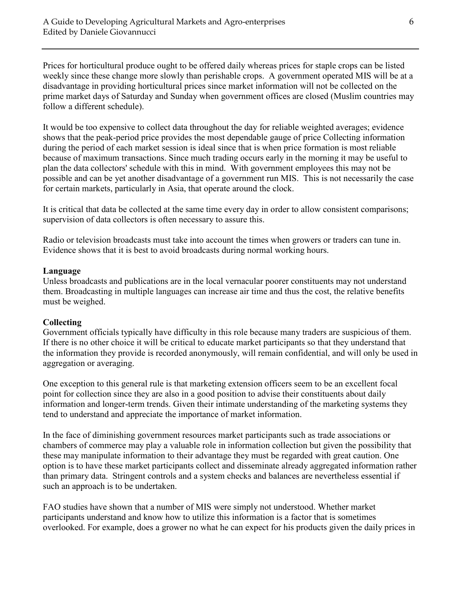Prices for horticultural produce ought to be offered daily whereas prices for staple crops can be listed weekly since these change more slowly than perishable crops. A government operated MIS will be at a disadvantage in providing horticultural prices since market information will not be collected on the prime market days of Saturday and Sunday when government offices are closed (Muslim countries may follow a different schedule).

It would be too expensive to collect data throughout the day for reliable weighted averages; evidence shows that the peak-period price provides the most dependable gauge of price Collecting information during the period of each market session is ideal since that is when price formation is most reliable because of maximum transactions. Since much trading occurs early in the morning it may be useful to plan the data collectors' schedule with this in mind. With government employees this may not be possible and can be yet another disadvantage of a government run MIS. This is not necessarily the case for certain markets, particularly in Asia, that operate around the clock.

It is critical that data be collected at the same time every day in order to allow consistent comparisons; supervision of data collectors is often necessary to assure this.

Radio or television broadcasts must take into account the times when growers or traders can tune in. Evidence shows that it is best to avoid broadcasts during normal working hours.

#### Language

Unless broadcasts and publications are in the local vernacular poorer constituents may not understand them. Broadcasting in multiple languages can increase air time and thus the cost, the relative benefits must be weighed.

#### Collecting

Government officials typically have difficulty in this role because many traders are suspicious of them. If there is no other choice it will be critical to educate market participants so that they understand that the information they provide is recorded anonymously, will remain confidential, and will only be used in aggregation or averaging.

One exception to this general rule is that marketing extension officers seem to be an excellent focal point for collection since they are also in a good position to advise their constituents about daily information and longer-term trends. Given their intimate understanding of the marketing systems they tend to understand and appreciate the importance of market information.

In the face of diminishing government resources market participants such as trade associations or chambers of commerce may play a valuable role in information collection but given the possibility that these may manipulate information to their advantage they must be regarded with great caution. One option is to have these market participants collect and disseminate already aggregated information rather than primary data. Stringent controls and a system checks and balances are nevertheless essential if such an approach is to be undertaken.

FAO studies have shown that a number of MIS were simply not understood. Whether market participants understand and know how to utilize this information is a factor that is sometimes overlooked. For example, does a grower no what he can expect for his products given the daily prices in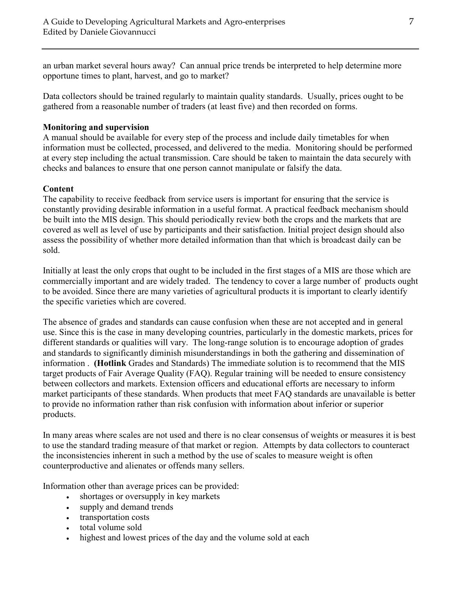an urban market several hours away? Can annual price trends be interpreted to help determine more opportune times to plant, harvest, and go to market?

Data collectors should be trained regularly to maintain quality standards. Usually, prices ought to be gathered from a reasonable number of traders (at least five) and then recorded on forms.

### **Monitoring and supervision**

A manual should be available for every step of the process and include daily timetables for when information must be collected, processed, and delivered to the media. Monitoring should be performed at every step including the actual transmission. Care should be taken to maintain the data securely with checks and balances to ensure that one person cannot manipulate or falsify the data.

### **Content**

The capability to receive feedback from service users is important for ensuring that the service is constantly providing desirable information in a useful format. A practical feedback mechanism should be built into the MIS design. This should periodically review both the crops and the markets that are covered as well as level of use by participants and their satisfaction. Initial project design should also assess the possibility of whether more detailed information than that which is broadcast daily can be sold.

Initially at least the only crops that ought to be included in the first stages of a MIS are those which are commercially important and are widely traded. The tendency to cover a large number of products ought to be avoided. Since there are many varieties of agricultural products it is important to clearly identify the specific varieties which are covered.

The absence of grades and standards can cause confusion when these are not accepted and in general use. Since this is the case in many developing countries, particularly in the domestic markets, prices for different standards or qualities will vary. The long-range solution is to encourage adoption of grades and standards to significantly diminish misunderstandings in both the gathering and dissemination of information. (Hotlink Grades and Standards) The immediate solution is to recommend that the MIS target products of Fair Average Quality (FAQ). Regular training will be needed to ensure consistency between collectors and markets. Extension officers and educational efforts are necessary to inform market participants of these standards. When products that meet FAO standards are unavailable is better to provide no information rather than risk confusion with information about inferior or superior products.

In many areas where scales are not used and there is no clear consensus of weights or measures it is best to use the standard trading measure of that market or region. Attempts by data collectors to counteract the inconsistencies inherent in such a method by the use of scales to measure weight is often counterproductive and alienates or offends many sellers.

Information other than average prices can be provided:

- shortages or oversupply in key markets  $\bullet$
- supply and demand trends
- transportation costs
- total volume sold  $\bullet$
- highest and lowest prices of the day and the volume sold at each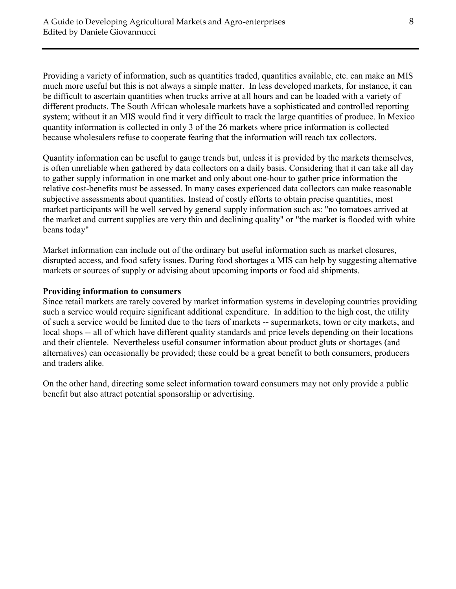Providing a variety of information, such as quantities traded, quantities available, etc. can make an MIS much more useful but this is not always a simple matter. In less developed markets, for instance, it can be difficult to ascertain quantities when trucks arrive at all hours and can be loaded with a variety of different products. The South African wholesale markets have a sophisticated and controlled reporting system; without it an MIS would find it very difficult to track the large quantities of produce. In Mexico quantity information is collected in only 3 of the 26 markets where price information is collected because wholesalers refuse to cooperate fearing that the information will reach tax collectors.

Quantity information can be useful to gauge trends but, unless it is provided by the markets themselves, is often unreliable when gathered by data collectors on a daily basis. Considering that it can take all day to gather supply information in one market and only about one-hour to gather price information the relative cost-benefits must be assessed. In many cases experienced data collectors can make reasonable subjective assessments about quantities. Instead of costly efforts to obtain precise quantities, most market participants will be well served by general supply information such as: "no tomatoes arrived at the market and current supplies are very thin and declining quality" or "the market is flooded with white beans today"

Market information can include out of the ordinary but useful information such as market closures, disrupted access, and food safety issues. During food shortages a MIS can help by suggesting alternative markets or sources of supply or advising about upcoming imports or food aid shipments.

#### **Providing information to consumers**

Since retail markets are rarely covered by market information systems in developing countries providing such a service would require significant additional expenditure. In addition to the high cost, the utility of such a service would be limited due to the tiers of markets -- supermarkets, town or city markets, and local shops -- all of which have different quality standards and price levels depending on their locations and their clientele. Nevertheless useful consumer information about product gluts or shortages (and alternatives) can occasionally be provided; these could be a great benefit to both consumers, producers and traders alike.

On the other hand, directing some select information toward consumers may not only provide a public benefit but also attract potential sponsorship or advertising.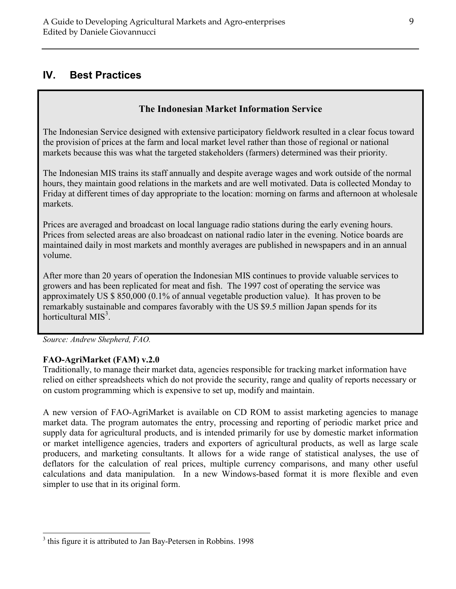#### $IV_{-}$ **Best Practices**

### The Indonesian Market Information Service

The Indonesian Service designed with extensive participatory fieldwork resulted in a clear focus toward the provision of prices at the farm and local market level rather than those of regional or national markets because this was what the targeted stakeholders (farmers) determined was their priority.

The Indonesian MIS trains its staff annually and despite average wages and work outside of the normal hours, they maintain good relations in the markets and are well motivated. Data is collected Monday to Friday at different times of day appropriate to the location: morning on farms and afternoon at wholesale markets.

Prices are averaged and broadcast on local language radio stations during the early evening hours. Prices from selected areas are also broadcast on national radio later in the evening. Notice boards are maintained daily in most markets and monthly averages are published in newspapers and in an annual volume

After more than 20 years of operation the Indonesian MIS continues to provide valuable services to growers and has been replicated for meat and fish. The 1997 cost of operating the service was approximately US \$ 850,000 (0.1% of annual vegetable production value). It has proven to be remarkably sustainable and compares favorably with the US \$9.5 million Japan spends for its horticultural  $MIS<sup>3</sup>$ 

Source: Andrew Shepherd, FAO.

#### FAO-AgriMarket (FAM) v.2.0

Traditionally, to manage their market data, agencies responsible for tracking market information have relied on either spreadsheets which do not provide the security, range and quality of reports necessary or on custom programming which is expensive to set up, modify and maintain.

A new version of FAO-AgriMarket is available on CD ROM to assist marketing agencies to manage market data. The program automates the entry, processing and reporting of periodic market price and supply data for agricultural products, and is intended primarily for use by domestic market information or market intelligence agencies, traders and exporters of agricultural products, as well as large scale producers, and marketing consultants. It allows for a wide range of statistical analyses, the use of deflators for the calculation of real prices, multiple currency comparisons, and many other useful calculations and data manipulation. In a new Windows-based format it is more flexible and even simpler to use that in its original form.

 $3$  this figure it is attributed to Jan Bay-Petersen in Robbins. 1998